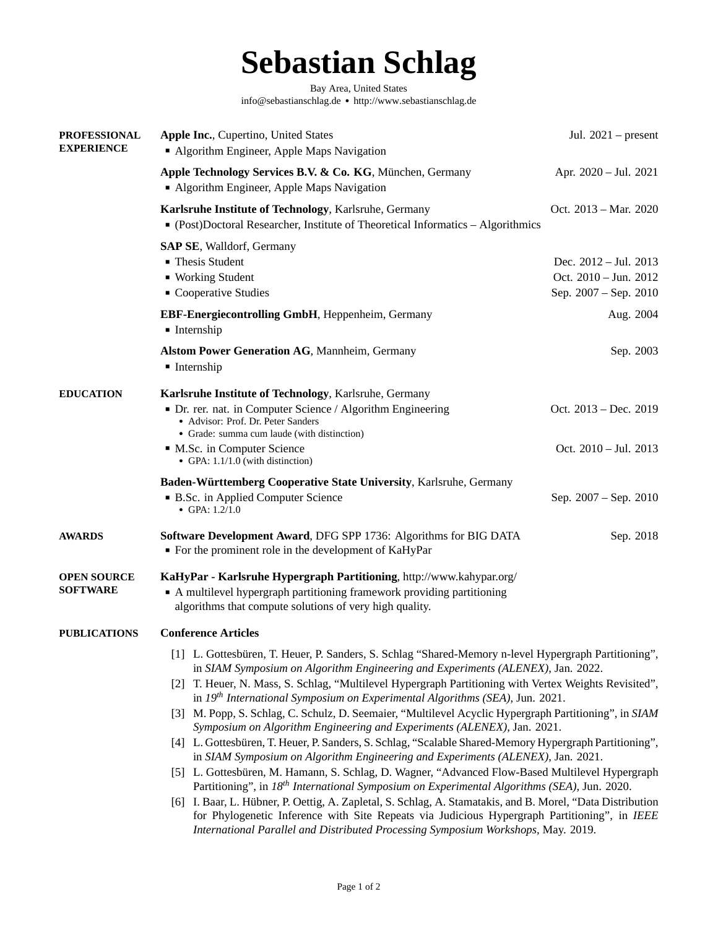# **Sebastian Schlag**

Bay Area, United States [info@sebastianschlag.de](mailto:info@sebastianschlag.de) ● <http://www.sebastianschlag.de>

<span id="page-0-0"></span>

| <b>PROFESSIONAL</b><br><b>EXPERIENCE</b> | Apple Inc., Cupertino, United States<br>• Algorithm Engineer, Apple Maps Navigation                                                                                                                        | Jul. $2021$ – present                                                   |
|------------------------------------------|------------------------------------------------------------------------------------------------------------------------------------------------------------------------------------------------------------|-------------------------------------------------------------------------|
|                                          | Apple Technology Services B.V. & Co. KG, München, Germany<br>• Algorithm Engineer, Apple Maps Navigation                                                                                                   | Apr. 2020 - Jul. 2021                                                   |
|                                          | Karlsruhe Institute of Technology, Karlsruhe, Germany<br>• (Post)Doctoral Researcher, Institute of Theoretical Informatics - Algorithmics                                                                  | Oct. 2013 – Mar. 2020                                                   |
|                                          | <b>SAP SE, Walldorf, Germany</b><br>• Thesis Student<br>• Working Student<br>• Cooperative Studies                                                                                                         | Dec. 2012 - Jul. 2013<br>Oct. 2010 - Jun. 2012<br>Sep. 2007 – Sep. 2010 |
|                                          | EBF-Energiecontrolling GmbH, Heppenheim, Germany<br><b>Internship</b>                                                                                                                                      | Aug. 2004                                                               |
|                                          | <b>Alstom Power Generation AG, Mannheim, Germany</b><br><b>Internship</b>                                                                                                                                  | Sep. 2003                                                               |
| <b>EDUCATION</b>                         | Karlsruhe Institute of Technology, Karlsruhe, Germany<br>• Dr. rer. nat. in Computer Science / Algorithm Engineering<br>• Advisor: Prof. Dr. Peter Sanders<br>• Grade: summa cum laude (with distinction)  | Oct. 2013 – Dec. 2019                                                   |
|                                          | • M.Sc. in Computer Science<br>• GPA: 1.1/1.0 (with distinction)                                                                                                                                           | Oct. 2010 - Jul. 2013                                                   |
|                                          | Baden-Württemberg Cooperative State University, Karlsruhe, Germany                                                                                                                                         |                                                                         |
|                                          | • B.Sc. in Applied Computer Science<br>• GPA: $1.2/1.0$                                                                                                                                                    | Sep. 2007 – Sep. 2010                                                   |
| <b>AWARDS</b>                            | <b>Software Development Award, DFG SPP 1736: Algorithms for BIG DATA</b><br>• For the prominent role in the development of KaHyPar                                                                         | Sep. 2018                                                               |
| <b>OPEN SOURCE</b><br><b>SOFTWARE</b>    | KaHyPar - Karlsruhe Hypergraph Partitioning, http://www.kahypar.org/<br>• A multilevel hypergraph partitioning framework providing partitioning<br>algorithms that compute solutions of very high quality. |                                                                         |
| <b>PUBLICATIONS</b>                      | <b>Conference Articles</b>                                                                                                                                                                                 |                                                                         |
|                                          | [1] L. Gottesbüren, T. Heuer, P. Sanders, S. Schlag "Shared-Memory n-level Hypergraph Partitioning",<br>in SIAM Symposium on Algorithm Engineering and Experiments (ALENEX), Jan. 2022.                    |                                                                         |
|                                          | [2] T. Heuer, N. Mass, S. Schlag, "Multilevel Hypergraph Partitioning with Vertex Weights Revisited",<br>in $19th$ International Symposium on Experimental Algorithms (SEA), Jun. 2021.                    |                                                                         |
|                                          | [3] M. Popp, S. Schlag, C. Schulz, D. Seemaier, "Multilevel Acyclic Hypergraph Partitioning", in SIAM<br>Symposium on Algorithm Engineering and Experiments (ALENEX), Jan. 2021.                           |                                                                         |
|                                          | [4] L. Gottesbüren, T. Heuer, P. Sanders, S. Schlag, "Scalable Shared-Memory Hypergraph Partitioning",<br>in SIAM Symposium on Algorithm Engineering and Experiments (ALENEX), Jan. 2021.                  |                                                                         |
|                                          | [5] L. Gottesbüren, M. Hamann, S. Schlag, D. Wagner, "Advanced Flow-Based Multilevel Hypergraph<br>Partitioning", in 18 <sup>th</sup> International Symposium on Experimental Algorithms (SEA), Jun. 2020. |                                                                         |
|                                          | [6] I. Baar, L. Hübner, P. Oettig, A. Zapletal, S. Schlag, A. Stamatakis, and B. Morel, "Data Distribution<br>for Phylogenetic Inference with Site Repeats via Judicious Hypergraph Partitioning", in IEEE |                                                                         |

*[International Parallel and Distributed Processing Symposium Workshops](http://hicomb.org/proceedings.html)*, May. 2019.